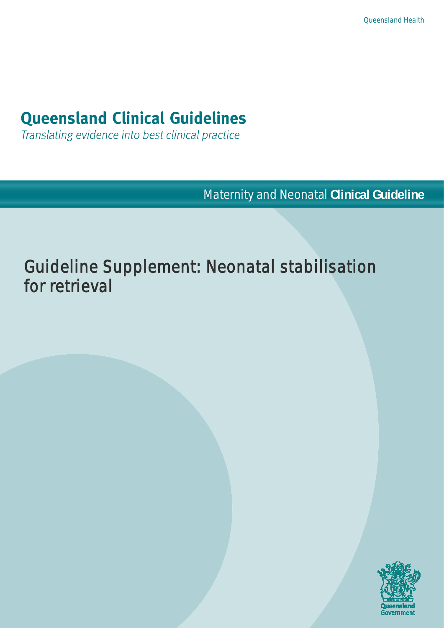# **Queensland Clinical Guidelines**

Translating evidence into best clinical practice

Maternity and Neonatal **Clinical Guideline**

# Guideline Supplement: Neonatal stabilisation for retrieval

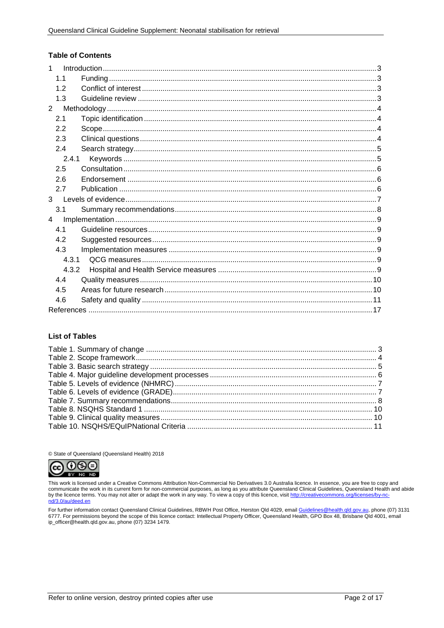#### **Table of Contents**

| 1              |  |
|----------------|--|
| 1.1            |  |
| 12             |  |
| 1.3            |  |
| $\overline{2}$ |  |
| 2.1            |  |
| 2.2            |  |
| 2.3            |  |
| 2.4            |  |
| 2.4.1          |  |
| 2.5            |  |
| 2.6            |  |
| 2.7            |  |
| $\mathbf{3}$   |  |
| 3.1            |  |
| $\overline{4}$ |  |
| 4.1            |  |
| 4.2            |  |
| 4.3            |  |
| 4.3.1          |  |
| 4.3.2          |  |
| 4.4            |  |
| 4.5            |  |
| 4.6            |  |
|                |  |

#### **List of Tables**

© State of Queensland (Queensland Health) 2018



This work is licensed under a Creative Commons Attribution Non-Commercial No Derivatives 3.0 Australia licence. In essence, you are free to copy and communicate the work in its current form for non-commercial purposes, as long as you attribute Queensland Clinical Guidelines, Queensland Health and abide<br>by the licence terms. You may not alter or adapt the work in any wa

For further information contact Queensland Clinical Guidelines, RBWH Post Office, Herston Qld 4029, email Guidelines@health.qld.gov.au, phone (07) 3131 6777. For permissions beyond the scope of this licence contact: Intellectual Property Officer, Queensland Health, GPO Box 48, Brisbane Qld 4001, email ip\_officer@health.qld.gov.au, phone (07) 3234 1479.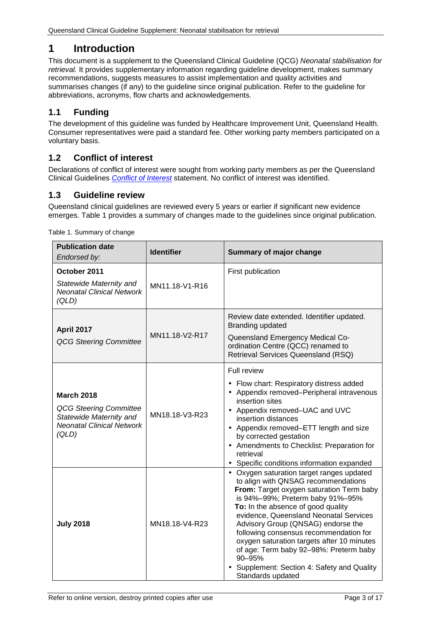# <span id="page-2-0"></span>**1 Introduction**

This document is a supplement to the Queensland Clinical Guideline (QCG) *Neonatal stabilisation for retrieval.* It provides supplementary information regarding guideline development, makes summary recommendations, suggests measures to assist implementation and quality activities and summarises changes (if any) to the guideline since original publication. Refer to the guideline for abbreviations, acronyms, flow charts and acknowledgements.

## <span id="page-2-1"></span>**1.1 Funding**

The development of this guideline was funded by Healthcare Improvement Unit, Queensland Health. Consumer representatives were paid a standard fee. Other working party members participated on a voluntary basis.

## <span id="page-2-2"></span>**1.2 Conflict of interest**

Declarations of conflict of interest were sought from working party members as per the Queensland Clinical Guidelines *[Conflict of Interest](http://www.health.qld.gov.au/qcg/development#coi)* statement. No conflict of interest was identified.

## <span id="page-2-3"></span>**1.3 Guideline review**

Queensland clinical guidelines are reviewed every 5 years or earlier if significant new evidence emerges. [Table 1](#page-2-4) provides a summary of changes made to the guidelines since original publication.

<span id="page-2-4"></span>

| <b>Publication date</b><br>Endorsed by:                                                                                    | <b>Identifier</b> | <b>Summary of major change</b>                                                                                                                                                                                                                                                                                                                                                                                                                                                                     |
|----------------------------------------------------------------------------------------------------------------------------|-------------------|----------------------------------------------------------------------------------------------------------------------------------------------------------------------------------------------------------------------------------------------------------------------------------------------------------------------------------------------------------------------------------------------------------------------------------------------------------------------------------------------------|
| October 2011<br>Statewide Maternity and<br><b>Neonatal Clinical Network</b><br>(QLD)                                       | MN11.18-V1-R16    | First publication                                                                                                                                                                                                                                                                                                                                                                                                                                                                                  |
| <b>April 2017</b><br><b>QCG Steering Committee</b>                                                                         | MN11.18-V2-R17    | Review date extended. Identifier updated.<br>Branding updated<br>Queensland Emergency Medical Co-<br>ordination Centre (QCC) renamed to<br>Retrieval Services Queensland (RSQ)                                                                                                                                                                                                                                                                                                                     |
| <b>March 2018</b><br><b>QCG Steering Committee</b><br>Statewide Maternity and<br><b>Neonatal Clinical Network</b><br>(QLD) | MN18.18-V3-R23    | Full review<br>Flow chart: Respiratory distress added<br>Appendix removed-Peripheral intravenous<br>insertion sites<br>Appendix removed-UAC and UVC<br>insertion distances<br>Appendix removed-ETT length and size<br>$\blacksquare$<br>by corrected gestation<br>Amendments to Checklist: Preparation for<br>retrieval<br>Specific conditions information expanded                                                                                                                                |
| <b>July 2018</b>                                                                                                           | MN18.18-V4-R23    | Oxygen saturation target ranges updated<br>to align with QNSAG recommendations<br>From: Target oxygen saturation Term baby<br>is 94%-99%; Preterm baby 91%-95%<br>To: In the absence of good quality<br>evidence, Queensland Neonatal Services<br>Advisory Group (QNSAG) endorse the<br>following consensus recommendation for<br>oxygen saturation targets after 10 minutes<br>of age: Term baby 92-98%: Preterm baby<br>90-95%<br>Supplement: Section 4: Safety and Quality<br>Standards updated |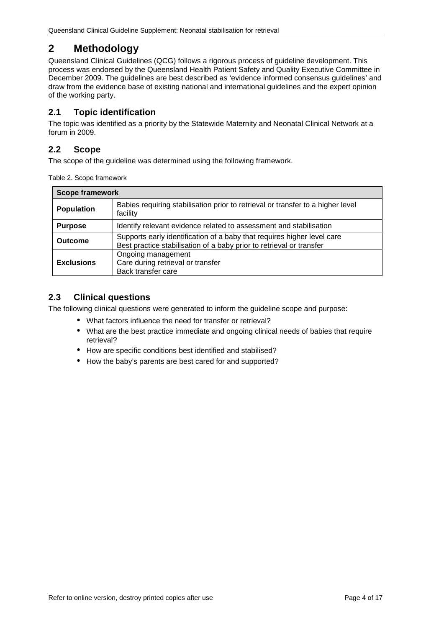# <span id="page-3-0"></span>**2 Methodology**

Queensland Clinical Guidelines (QCG) follows a rigorous process of guideline development. This process was endorsed by the Queensland Health Patient Safety and Quality Executive Committee in December 2009. The guidelines are best described as 'evidence informed consensus guidelines' and draw from the evidence base of existing national and international guidelines and the expert opinion of the working party.

## <span id="page-3-1"></span>**2.1 Topic identification**

The topic was identified as a priority by the Statewide Maternity and Neonatal Clinical Network at a forum in 2009.

## <span id="page-3-2"></span>**2.2 Scope**

The scope of the guideline was determined using the following framework.

<span id="page-3-4"></span>

| Table 2. Scope framework |  |  |  |  |
|--------------------------|--|--|--|--|
|--------------------------|--|--|--|--|

| <b>Scope framework</b> |                                                                                                                                                 |  |
|------------------------|-------------------------------------------------------------------------------------------------------------------------------------------------|--|
| <b>Population</b>      | Babies requiring stabilisation prior to retrieval or transfer to a higher level<br>facility                                                     |  |
| <b>Purpose</b>         | Identify relevant evidence related to assessment and stabilisation                                                                              |  |
| <b>Outcome</b>         | Supports early identification of a baby that requires higher level care<br>Best practice stabilisation of a baby prior to retrieval or transfer |  |
| <b>Exclusions</b>      | Ongoing management<br>Care during retrieval or transfer<br>Back transfer care                                                                   |  |

## <span id="page-3-3"></span>**2.3 Clinical questions**

The following clinical questions were generated to inform the guideline scope and purpose:

- What factors influence the need for transfer or retrieval?
- What are the best practice immediate and ongoing clinical needs of babies that require retrieval?
- How are specific conditions best identified and stabilised?
- How the baby's parents are best cared for and supported? $\mathbf{r}$  .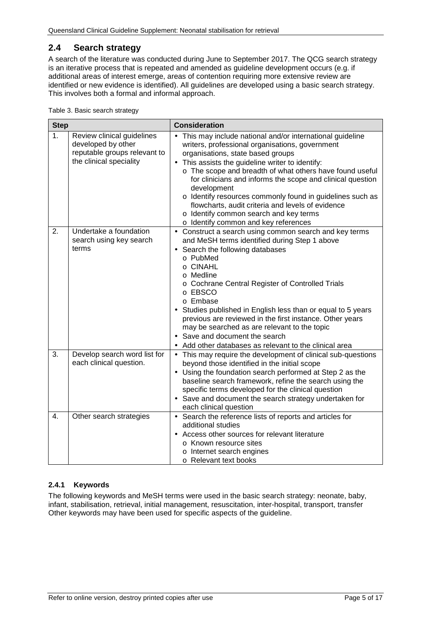## <span id="page-4-0"></span>**2.4 Search strategy**

A search of the literature was conducted during June to September 2017. The QCG search strategy is an iterative process that is repeated and amended as guideline development occurs (e.g. if additional areas of interest emerge, areas of contention requiring more extensive review are identified or new evidence is identified). All guidelines are developed using a basic search strategy. This involves both a formal and informal approach.

<span id="page-4-2"></span>

| Table 3. Basic search strategy |
|--------------------------------|
|--------------------------------|

| <b>Step</b> |                                                                                                             | <b>Consideration</b>                                                                                                                                                                                                                                                                                                                                                                                                                                                                                                                                              |
|-------------|-------------------------------------------------------------------------------------------------------------|-------------------------------------------------------------------------------------------------------------------------------------------------------------------------------------------------------------------------------------------------------------------------------------------------------------------------------------------------------------------------------------------------------------------------------------------------------------------------------------------------------------------------------------------------------------------|
| 1.          | Review clinical guidelines<br>developed by other<br>reputable groups relevant to<br>the clinical speciality | This may include national and/or international guideline<br>writers, professional organisations, government<br>organisations, state based groups<br>This assists the guideline writer to identify:<br>$\blacksquare$<br>o The scope and breadth of what others have found useful<br>for clinicians and informs the scope and clinical question<br>development<br>o Identify resources commonly found in guidelines such as<br>flowcharts, audit criteria and levels of evidence<br>o Identify common search and key terms<br>o Identify common and key references |
| 2.          | Undertake a foundation<br>search using key search<br>terms                                                  | Construct a search using common search and key terms<br>$\blacksquare$<br>and MeSH terms identified during Step 1 above<br>Search the following databases<br>o PubMed<br>o CINAHL<br>o Medline<br>o Cochrane Central Register of Controlled Trials<br>o EBSCO<br>o Embase<br>Studies published in English less than or equal to 5 years<br>previous are reviewed in the first instance. Other years<br>may be searched as are relevant to the topic<br>Save and document the search<br>Add other databases as relevant to the clinical area                       |
| 3.          | Develop search word list for<br>each clinical question.                                                     | This may require the development of clinical sub-questions<br>$\blacksquare$<br>beyond those identified in the initial scope<br>Using the foundation search performed at Step 2 as the<br>baseline search framework, refine the search using the<br>specific terms developed for the clinical question<br>Save and document the search strategy undertaken for<br>each clinical question                                                                                                                                                                          |
| 4.          | Other search strategies                                                                                     | Search the reference lists of reports and articles for<br>$\blacksquare$<br>additional studies<br>Access other sources for relevant literature<br>○ Known resource sites<br>o Internet search engines<br>○ Relevant text books                                                                                                                                                                                                                                                                                                                                    |

#### <span id="page-4-1"></span>**2.4.1 Keywords**

The following keywords and MeSH terms were used in the basic search strategy: neonate, baby, infant, stabilisation, retrieval, initial management, resuscitation, inter-hospital, transport, transfer Other keywords may have been used for specific aspects of the guideline.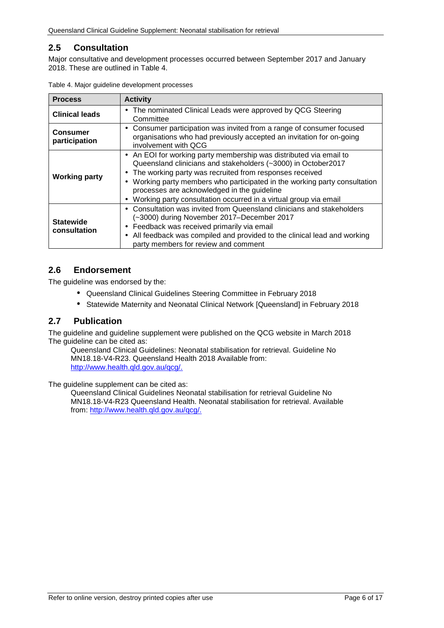## <span id="page-5-0"></span>**2.5 Consultation**

Major consultative and development processes occurred between September 2017 and January 2018. These are outlined in [Table 4.](#page-5-3)

| <b>Process</b>                   | <b>Activity</b>                                                                                                                                                                                                                                                                                                                                                                                                                      |
|----------------------------------|--------------------------------------------------------------------------------------------------------------------------------------------------------------------------------------------------------------------------------------------------------------------------------------------------------------------------------------------------------------------------------------------------------------------------------------|
| <b>Clinical leads</b>            | The nominated Clinical Leads were approved by QCG Steering<br>$\blacksquare$<br>Committee                                                                                                                                                                                                                                                                                                                                            |
| <b>Consumer</b><br>participation | Consumer participation was invited from a range of consumer focused<br>$\blacksquare$<br>organisations who had previously accepted an invitation for on-going<br>involvement with QCG                                                                                                                                                                                                                                                |
| <b>Working party</b>             | An EOI for working party membership was distributed via email to<br>Queensland clinicians and stakeholders (~3000) in October2017<br>The working party was recruited from responses received<br>٠<br>Working party members who participated in the working party consultation<br>$\blacksquare$<br>processes are acknowledged in the guideline<br>Working party consultation occurred in a virtual group via email<br>$\blacksquare$ |
| <b>Statewide</b><br>consultation | Consultation was invited from Queensland clinicians and stakeholders<br>$\blacksquare$<br>(~3000) during November 2017–December 2017<br>Feedback was received primarily via email<br>٠<br>All feedback was compiled and provided to the clinical lead and working<br>party members for review and comment                                                                                                                            |

<span id="page-5-3"></span>

|  |  | Table 4. Major guideline development processes |  |
|--|--|------------------------------------------------|--|
|--|--|------------------------------------------------|--|

#### <span id="page-5-1"></span>**2.6 Endorsement**

The guideline was endorsed by the:

- Queensland Clinical Guidelines Steering Committee in February 2018
- Statewide Maternity and Neonatal Clinical Network [Queensland] in February 2018  $\mathbf{r}$

#### <span id="page-5-2"></span>**2.7 Publication**

The guideline and guideline supplement were published on the QCG website in March 2018 The quideline can be cited as:

Queensland Clinical Guidelines: Neonatal stabilisation for retrieval. Guideline No MN18.18-V4-R23. Queensland Health 2018 Available from: [http://www.health.qld.gov.au/qcg/.](http://www.health.qld.gov.au/qcg/)

The guideline supplement can be cited as:

Queensland Clinical Guidelines Neonatal stabilisation for retrieval Guideline No MN18.18-V4-R23 Queensland Health. Neonatal stabilisation for retrieval. Available from: [http://www.health.qld.gov.au/qcg/.](http://www.health.qld.gov.au/qcg/)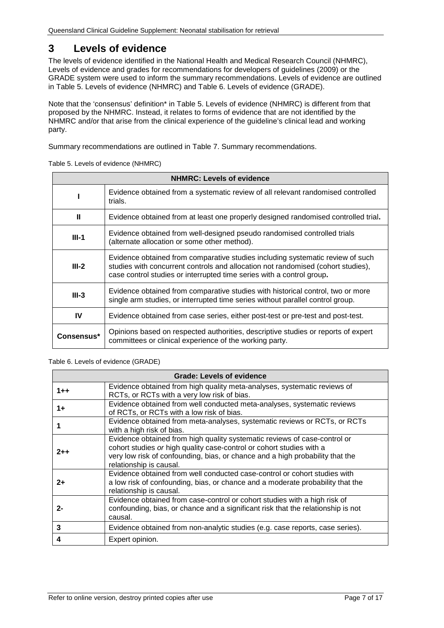# <span id="page-6-0"></span>**3 Levels of evidence**

The levels of evidence identified in the National Health and Medical Research Council (NHMRC), Levels of evidence and grades for recommendations for developers of guidelines (2009) or the GRADE system were used to inform the summary recommendations. Levels of evidence are outlined in [Table 5. Levels of evidence](#page-6-1) (NHMRC) and [Table 6. Levels of evidence \(GRADE\).](#page-6-2)

Note that the 'consensus' definition\* in [Table 5. Levels of evidence](#page-6-1) (NHMRC) is different from that proposed by the NHMRC. Instead, it relates to forms of evidence that are not identified by the NHMRC and/or that arise from the clinical experience of the guideline's clinical lead and working party.

<span id="page-6-1"></span>Summary recommendations are outlined in [Table 7. Summary recommendations.](#page-7-1)

| <b>NHMRC: Levels of evidence</b> |                                                                                                                                                                                                                                             |  |  |
|----------------------------------|---------------------------------------------------------------------------------------------------------------------------------------------------------------------------------------------------------------------------------------------|--|--|
|                                  | Evidence obtained from a systematic review of all relevant randomised controlled<br>trials.                                                                                                                                                 |  |  |
| Ш                                | Evidence obtained from at least one properly designed randomised controlled trial.                                                                                                                                                          |  |  |
| $III-1$                          | Evidence obtained from well-designed pseudo randomised controlled trials<br>(alternate allocation or some other method).                                                                                                                    |  |  |
| $III-2$                          | Evidence obtained from comparative studies including systematic review of such<br>studies with concurrent controls and allocation not randomised (cohort studies),<br>case control studies or interrupted time series with a control group. |  |  |
| $III-3$                          | Evidence obtained from comparative studies with historical control, two or more<br>single arm studies, or interrupted time series without parallel control group.                                                                           |  |  |
| IV                               | Evidence obtained from case series, either post-test or pre-test and post-test.                                                                                                                                                             |  |  |
| Consensus*                       | Opinions based on respected authorities, descriptive studies or reports of expert<br>committees or clinical experience of the working party.                                                                                                |  |  |

Table 5. Levels of evidence (NHMRC)

#### <span id="page-6-2"></span>Table 6. Levels of evidence (GRADE)

|         | <b>Grade: Levels of evidence</b>                                                                                                                                                                                                                              |
|---------|---------------------------------------------------------------------------------------------------------------------------------------------------------------------------------------------------------------------------------------------------------------|
| $1 + +$ | Evidence obtained from high quality meta-analyses, systematic reviews of<br>RCTs, or RCTs with a very low risk of bias.                                                                                                                                       |
| 1+      | Evidence obtained from well conducted meta-analyses, systematic reviews<br>of RCTs, or RCTs with a low risk of bias.                                                                                                                                          |
|         | Evidence obtained from meta-analyses, systematic reviews or RCTs, or RCTs<br>with a high risk of bias.                                                                                                                                                        |
| $2 + +$ | Evidence obtained from high quality systematic reviews of case-control or<br>cohort studies or high quality case-control or cohort studies with a<br>very low risk of confounding, bias, or chance and a high probability that the<br>relationship is causal. |
| $2+$    | Evidence obtained from well conducted case-control or cohort studies with<br>a low risk of confounding, bias, or chance and a moderate probability that the<br>relationship is causal.                                                                        |
| 2-      | Evidence obtained from case-control or cohort studies with a high risk of<br>confounding, bias, or chance and a significant risk that the relationship is not<br>causal.                                                                                      |
| 3       | Evidence obtained from non-analytic studies (e.g. case reports, case series).                                                                                                                                                                                 |
|         | Expert opinion.                                                                                                                                                                                                                                               |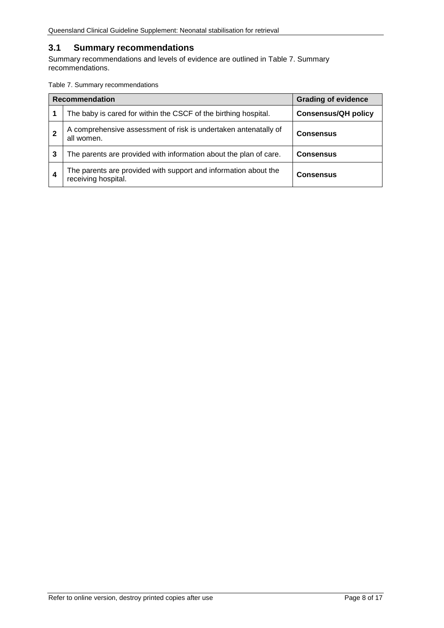## <span id="page-7-0"></span>**3.1 Summary recommendations**

Summary recommendations and levels of evidence are outlined in [Table 7. Summary](#page-7-1)  [recommendations.](#page-7-1)

<span id="page-7-1"></span>Table 7. Summary recommendations

| <b>Recommendation</b> |                                                                                        | <b>Grading of evidence</b> |
|-----------------------|----------------------------------------------------------------------------------------|----------------------------|
|                       | The baby is cared for within the CSCF of the birthing hospital.                        | <b>Consensus/QH policy</b> |
|                       | A comprehensive assessment of risk is undertaken antenatally of<br>all women.          | <b>Consensus</b>           |
| 3                     | The parents are provided with information about the plan of care.                      | <b>Consensus</b>           |
| 4                     | The parents are provided with support and information about the<br>receiving hospital. | <b>Consensus</b>           |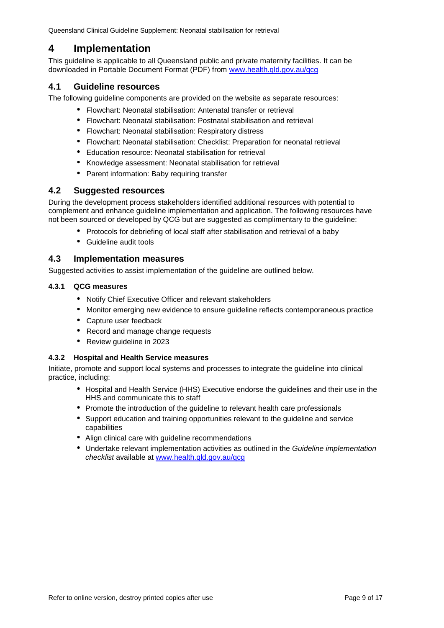## <span id="page-8-0"></span>**4 Implementation**

This guideline is applicable to all Queensland public and private maternity facilities. It can be downloaded in Portable Document Format (PDF) from [www.health.qld.gov.au/qcg](http://www.health.qld.gov.au/qcg)

#### <span id="page-8-1"></span>**4.1 Guideline resources**

The following guideline components are provided on the website as separate resources:

- Flowchart: Neonatal stabilisation: Antenatal transfer or retrieval
- Flowchart: Neonatal stabilisation: Postnatal stabilisation and retrieval
- Flowchart: Neonatal stabilisation: Respiratory distress
- Flowchart: Neonatal stabilisation: Checklist: Preparation for neonatal retrieval
- Education resource: Neonatal stabilisation for retrieval  $\sim$
- Knowledge assessment: Neonatal stabilisation for retrieval
- Parent information: Baby requiring transfer

#### <span id="page-8-2"></span>**4.2 Suggested resources**

During the development process stakeholders identified additional resources with potential to complement and enhance guideline implementation and application. The following resources have not been sourced or developed by QCG but are suggested as complimentary to the guideline:

- Protocols for debriefing of local staff after stabilisation and retrieval of a baby
- Guideline audit tools

#### <span id="page-8-3"></span>**4.3 Implementation measures**

<span id="page-8-4"></span>Suggested activities to assist implementation of the guideline are outlined below.

#### **4.3.1 QCG measures**

- $\mathbf{r}$ Notify Chief Executive Officer and relevant stakeholders
- Monitor emerging new evidence to ensure guideline reflects contemporaneous practice
- Capture user feedback
- Record and manage change requests
- Review guideline in 2023

#### <span id="page-8-5"></span>**4.3.2 Hospital and Health Service measures**

Initiate, promote and support local systems and processes to integrate the guideline into clinical practice, including:

- Hospital and Health Service (HHS) Executive endorse the guidelines and their use in the HHS and communicate this to staff
- Promote the introduction of the guideline to relevant health care professionals
- Support education and training opportunities relevant to the guideline and service capabilities
- Align clinical care with guideline recommendations
- Undertake relevant implementation activities as outlined in the *Guideline implementation checklist* available at [www.health.qld.gov.au/qcg](http://www.health.qld.gov.au/qcg)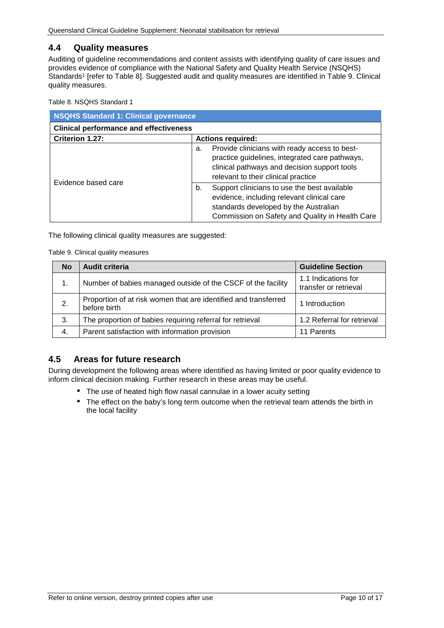#### <span id="page-9-0"></span>**4.4 Quality measures**

Auditing of guideline recommendations and content assists with identifying quality of care issues and provides evidence of compliance with the National Safety and Quality Health Service (NSQHS) Standards<sup>1</sup> [refer to [Table 8\]](#page-9-2). Suggested audit and quality measures are identified in Table 9. Clinical [quality measures.](#page-9-3)

<span id="page-9-2"></span>Table 8. NSQHS Standard 1

| <b>NSQHS Standard 1: Clinical governance</b>  |                                                                                                                                                                                              |  |  |
|-----------------------------------------------|----------------------------------------------------------------------------------------------------------------------------------------------------------------------------------------------|--|--|
| <b>Clinical performance and effectiveness</b> |                                                                                                                                                                                              |  |  |
| Criterion 1.27:<br><b>Actions required:</b>   |                                                                                                                                                                                              |  |  |
| Evidence based care                           | Provide clinicians with ready access to best-<br>a.<br>practice guidelines, integrated care pathways,<br>clinical pathways and decision support tools<br>relevant to their clinical practice |  |  |
|                                               | Support clinicians to use the best available<br>b.<br>evidence, including relevant clinical care<br>standards developed by the Australian<br>Commission on Safety and Quality in Health Care |  |  |

<span id="page-9-3"></span>The following clinical quality measures are suggested:

Table 9. Clinical quality measures

| <b>No</b> | <b>Audit criteria</b>                                                           | <b>Guideline Section</b>                     |
|-----------|---------------------------------------------------------------------------------|----------------------------------------------|
| 1.        | Number of babies managed outside of the CSCF of the facility                    | 1.1 Indications for<br>transfer or retrieval |
| 2.        | Proportion of at risk women that are identified and transferred<br>before birth | 1 Introduction                               |
| 3.        | The proportion of babies requiring referral for retrieval                       | 1.2 Referral for retrieval                   |
| 4.        | Parent satisfaction with information provision                                  | 11 Parents                                   |

## <span id="page-9-1"></span>**4.5 Areas for future research**

During development the following areas where identified as having limited or poor quality evidence to inform clinical decision making. Further research in these areas may be useful.

- The use of heated high flow nasal cannulae in a lower acuity setting
- The effect on the baby's long term outcome when the retrieval team attends the birth in the local facility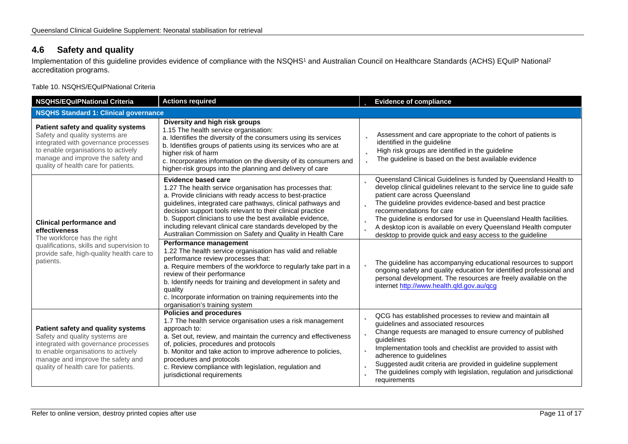## **4.6 Safety and quality**

Implementation of this guideline provides evidence of compliance with the NSQHS<sup>1</sup> and Australian Council on Healthcare Standards (ACHS) EQuIP National<sup>2</sup> accreditation programs.

Table 10. NSQHS/EQuIPNational Criteria

<span id="page-10-1"></span><span id="page-10-0"></span>

| <b>NSQHS/EQuIPNational Criteria</b>                                                                                                                                                                                              | <b>Actions required</b>                                                                                                                                                                                                                                                                                                                                                                                                                                                                                                                                                                                                                                                                                                                                                                                                                                                          | <b>b</b> Evidence of compliance                                                                                                                                                                                                                                                                                                                                                                                                                                                                                                                                                                                                                                                                                                      |  |  |
|----------------------------------------------------------------------------------------------------------------------------------------------------------------------------------------------------------------------------------|----------------------------------------------------------------------------------------------------------------------------------------------------------------------------------------------------------------------------------------------------------------------------------------------------------------------------------------------------------------------------------------------------------------------------------------------------------------------------------------------------------------------------------------------------------------------------------------------------------------------------------------------------------------------------------------------------------------------------------------------------------------------------------------------------------------------------------------------------------------------------------|--------------------------------------------------------------------------------------------------------------------------------------------------------------------------------------------------------------------------------------------------------------------------------------------------------------------------------------------------------------------------------------------------------------------------------------------------------------------------------------------------------------------------------------------------------------------------------------------------------------------------------------------------------------------------------------------------------------------------------------|--|--|
|                                                                                                                                                                                                                                  | <b>NSQHS Standard 1: Clinical governance</b>                                                                                                                                                                                                                                                                                                                                                                                                                                                                                                                                                                                                                                                                                                                                                                                                                                     |                                                                                                                                                                                                                                                                                                                                                                                                                                                                                                                                                                                                                                                                                                                                      |  |  |
| Patient safety and quality systems<br>Safety and quality systems are<br>integrated with governance processes<br>to enable organisations to actively<br>manage and improve the safety and<br>quality of health care for patients. | Diversity and high risk groups<br>1.15 The health service organisation:<br>a. Identifies the diversity of the consumers using its services<br>b. Identifies groups of patients using its services who are at<br>higher risk of harm<br>c. Incorporates information on the diversity of its consumers and<br>higher-risk groups into the planning and delivery of care                                                                                                                                                                                                                                                                                                                                                                                                                                                                                                            | <b>b</b> Assessment and care appropriate to the cohort of patients is<br>identified in the guideline<br><b>b</b> High risk groups are identified in the guideline<br>The guideline is based on the best available evidence<br>þ                                                                                                                                                                                                                                                                                                                                                                                                                                                                                                      |  |  |
| <b>Clinical performance and</b><br>effectiveness<br>The workforce has the right<br>qualifications, skills and supervision to<br>provide safe, high-quality health care to<br>patients.                                           | Evidence based care<br>1.27 The health service organisation has processes that:<br>a. Provide clinicians with ready access to best-practice<br>guidelines, integrated care pathways, clinical pathways and<br>decision support tools relevant to their clinical practice<br>b. Support clinicians to use the best available evidence,<br>including relevant clinical care standards developed by the<br>Australian Commission on Safety and Quality in Health Care<br>Performance management<br>1.22 The health service organisation has valid and reliable<br>performance review processes that:<br>a. Require members of the workforce to regularly take part in a<br>review of their performance<br>b. Identify needs for training and development in safety and<br>quality<br>c. Incorporate information on training requirements into the<br>organisation's training system | Queensland Clinical Guidelines is funded by Queensland Health to<br>develop clinical guidelines relevant to the service line to guide safe<br>patient care across Queensland<br>The guideline provides evidence-based and best practice<br>recommendations for care<br>The guideline is endorsed for use in Queensland Health facilities.<br>A desktop icon is available on every Queensland Health computer<br>desktop to provide quick and easy access to the guideline<br>The guideline has accompanying educational resources to support<br>ongoing safety and quality education for identified professional and<br>personal development. The resources are freely available on the<br>internet http://www.health.qld.gov.au/qcg |  |  |
| Patient safety and quality systems<br>Safety and quality systems are<br>integrated with governance processes<br>to enable organisations to actively<br>manage and improve the safety and<br>quality of health care for patients. | <b>Policies and procedures</b><br>1.7 The health service organisation uses a risk management<br>approach to:<br>a. Set out, review, and maintain the currency and effectiveness<br>of, policies, procedures and protocols<br>b. Monitor and take action to improve adherence to policies,<br>procedures and protocols<br>c. Review compliance with legislation, regulation and<br>jurisdictional requirements                                                                                                                                                                                                                                                                                                                                                                                                                                                                    | QCG has established processes to review and maintain all<br>guidelines and associated resources<br>Change requests are managed to ensure currency of published<br>quidelines<br>Implementation tools and checklist are provided to assist with<br>adherence to guidelines<br>Suggested audit criteria are provided in guideline supplement<br>Þ<br>The guidelines comply with legislation, regulation and jurisdictional<br>Þ<br>requirements                                                                                                                                                                                                                                                                                        |  |  |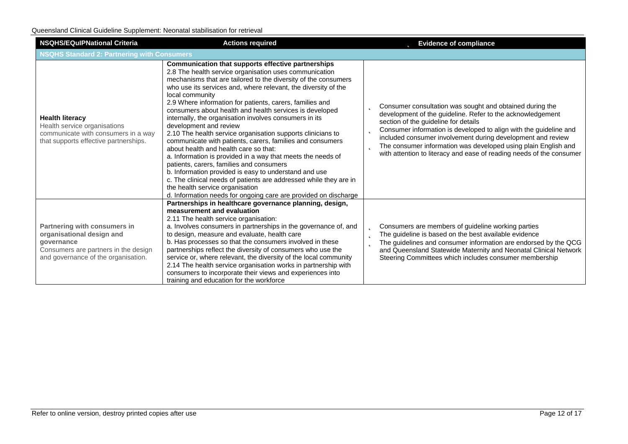| <b>NSQHS/EQuIPNational Criteria</b><br><b>Actions required</b>                                                                                         |                                                                                                                                                                                                                                                                                                                                                                                                                                                                                                                                                                                                                                                                                                                                                                                                                                                                                                                                                                                                    | <b>b</b> Evidence of compliance                                                                                                                                                                                                                                                                                                                                                                                                                             |  |
|--------------------------------------------------------------------------------------------------------------------------------------------------------|----------------------------------------------------------------------------------------------------------------------------------------------------------------------------------------------------------------------------------------------------------------------------------------------------------------------------------------------------------------------------------------------------------------------------------------------------------------------------------------------------------------------------------------------------------------------------------------------------------------------------------------------------------------------------------------------------------------------------------------------------------------------------------------------------------------------------------------------------------------------------------------------------------------------------------------------------------------------------------------------------|-------------------------------------------------------------------------------------------------------------------------------------------------------------------------------------------------------------------------------------------------------------------------------------------------------------------------------------------------------------------------------------------------------------------------------------------------------------|--|
| <b>NSQHS Standard 2: Partnering with Consumers</b>                                                                                                     |                                                                                                                                                                                                                                                                                                                                                                                                                                                                                                                                                                                                                                                                                                                                                                                                                                                                                                                                                                                                    |                                                                                                                                                                                                                                                                                                                                                                                                                                                             |  |
| <b>Health literacy</b><br>Health service organisations<br>communicate with consumers in a way<br>that supports effective partnerships.                 | Communication that supports effective partnerships<br>2.8 The health service organisation uses communication<br>mechanisms that are tailored to the diversity of the consumers<br>who use its services and, where relevant, the diversity of the<br>local community<br>2.9 Where information for patients, carers, families and<br>consumers about health and health services is developed<br>internally, the organisation involves consumers in its<br>development and review<br>2.10 The health service organisation supports clinicians to<br>communicate with patients, carers, families and consumers<br>about health and health care so that:<br>a. Information is provided in a way that meets the needs of<br>patients, carers, families and consumers<br>b. Information provided is easy to understand and use<br>c. The clinical needs of patients are addressed while they are in<br>the health service organisation<br>d. Information needs for ongoing care are provided on discharge | Consumer consultation was sought and obtained during the<br>b<br>development of the guideline. Refer to the acknowledgement<br>section of the guideline for details<br>Consumer information is developed to align with the guideline and<br>b<br>included consumer involvement during development and review<br>The consumer information was developed using plain English and<br>b<br>with attention to literacy and ease of reading needs of the consumer |  |
| Partnering with consumers in<br>organisational design and<br>governance<br>Consumers are partners in the design<br>and governance of the organisation. | Partnerships in healthcare governance planning, design,<br>measurement and evaluation<br>2.11 The health service organisation:<br>a. Involves consumers in partnerships in the governance of, and<br>to design, measure and evaluate, health care<br>b. Has processes so that the consumers involved in these<br>partnerships reflect the diversity of consumers who use the<br>service or, where relevant, the diversity of the local community<br>2.14 The health service organisation works in partnership with<br>consumers to incorporate their views and experiences into<br>training and education for the workforce                                                                                                                                                                                                                                                                                                                                                                        | Consumers are members of guideline working parties<br>Þ<br>The guideline is based on the best available evidence<br>b<br>The guidelines and consumer information are endorsed by the QCG<br>b<br>and Queensland Statewide Maternity and Neonatal Clinical Network<br>Steering Committees which includes consumer membership                                                                                                                                 |  |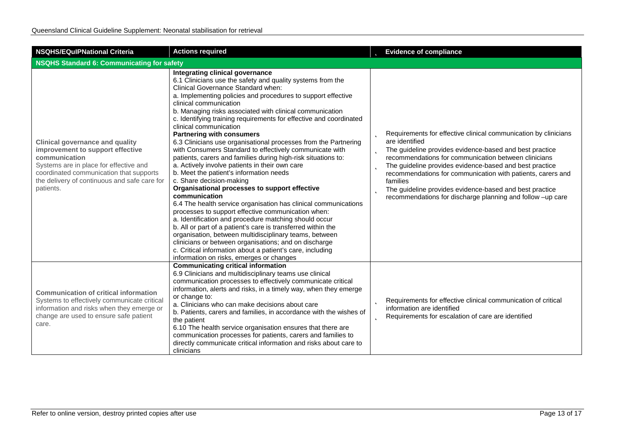| <b>NSQHS/EQuIPNational Criteria</b>                                                                                                                                                                                                           | <b>Actions required</b>                                                                                                                                                                                                                                                                                                                                                                                                                                                                                                                                                                                                                                                                                                                                                                                                                                                                                                                                                                                                                                                                                                                                                                                                                                                                               | <b>b</b> Evidence of compliance                                                                                                                                                                                                                                                                                                                                                                                                                                                                      |
|-----------------------------------------------------------------------------------------------------------------------------------------------------------------------------------------------------------------------------------------------|-------------------------------------------------------------------------------------------------------------------------------------------------------------------------------------------------------------------------------------------------------------------------------------------------------------------------------------------------------------------------------------------------------------------------------------------------------------------------------------------------------------------------------------------------------------------------------------------------------------------------------------------------------------------------------------------------------------------------------------------------------------------------------------------------------------------------------------------------------------------------------------------------------------------------------------------------------------------------------------------------------------------------------------------------------------------------------------------------------------------------------------------------------------------------------------------------------------------------------------------------------------------------------------------------------|------------------------------------------------------------------------------------------------------------------------------------------------------------------------------------------------------------------------------------------------------------------------------------------------------------------------------------------------------------------------------------------------------------------------------------------------------------------------------------------------------|
| <b>NSQHS Standard 6: Communicating for safety</b>                                                                                                                                                                                             |                                                                                                                                                                                                                                                                                                                                                                                                                                                                                                                                                                                                                                                                                                                                                                                                                                                                                                                                                                                                                                                                                                                                                                                                                                                                                                       |                                                                                                                                                                                                                                                                                                                                                                                                                                                                                                      |
| <b>Clinical governance and quality</b><br>improvement to support effective<br>communication<br>Systems are in place for effective and<br>coordinated communication that supports<br>the delivery of continuous and safe care for<br>patients. | Integrating clinical governance<br>6.1 Clinicians use the safety and quality systems from the<br>Clinical Governance Standard when:<br>a. Implementing policies and procedures to support effective<br>clinical communication<br>b. Managing risks associated with clinical communication<br>c. Identifying training requirements for effective and coordinated<br>clinical communication<br><b>Partnering with consumers</b><br>6.3 Clinicians use organisational processes from the Partnering<br>with Consumers Standard to effectively communicate with<br>patients, carers and families during high-risk situations to:<br>a. Actively involve patients in their own care<br>b. Meet the patient's information needs<br>c. Share decision-making<br>Organisational processes to support effective<br>communication<br>6.4 The health service organisation has clinical communications<br>processes to support effective communication when:<br>a. Identification and procedure matching should occur<br>b. All or part of a patient's care is transferred within the<br>organisation, between multidisciplinary teams, between<br>clinicians or between organisations; and on discharge<br>c. Critical information about a patient's care, including<br>information on risks, emerges or changes | <b>b</b> Requirements for effective clinical communication by clinicians<br>are identified<br>The guideline provides evidence-based and best practice<br>b.<br>recommendations for communication between clinicians<br><b>b</b> The guideline provides evidence-based and best practice<br>recommendations for communication with patients, carers and<br>families<br><b>b</b> The guideline provides evidence-based and best practice<br>recommendations for discharge planning and follow -up care |
| <b>Communication of critical information</b><br>Systems to effectively communicate critical<br>information and risks when they emerge or<br>change are used to ensure safe patient<br>care.                                                   | <b>Communicating critical information</b><br>6.9 Clinicians and multidisciplinary teams use clinical<br>communication processes to effectively communicate critical<br>information, alerts and risks, in a timely way, when they emerge<br>or change to:<br>a. Clinicians who can make decisions about care<br>b. Patients, carers and families, in accordance with the wishes of<br>the patient<br>6.10 The health service organisation ensures that there are<br>communication processes for patients, carers and families to<br>directly communicate critical information and risks about care to<br>clinicians                                                                                                                                                                                                                                                                                                                                                                                                                                                                                                                                                                                                                                                                                    | <b>b</b> Requirements for effective clinical communication of critical<br>information are identified<br><b>b</b> Requirements for escalation of care are identified                                                                                                                                                                                                                                                                                                                                  |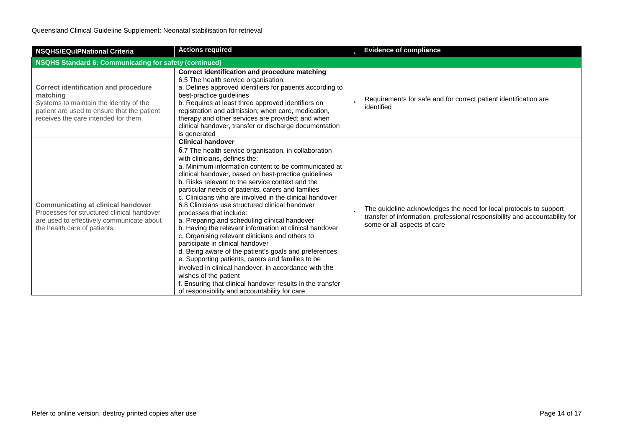| <b>NSQHS/EQulPNational Criteria</b>                                                                                                                                                       | <b>Actions required</b>                                                                                                                                                                                                                                                                                                                                                                                                                                                                                                                                                                                                                                                                                                                                                                                                                                                                                                                                                                                | <b>b</b> Evidence of compliance                                                                                                                                                       |
|-------------------------------------------------------------------------------------------------------------------------------------------------------------------------------------------|--------------------------------------------------------------------------------------------------------------------------------------------------------------------------------------------------------------------------------------------------------------------------------------------------------------------------------------------------------------------------------------------------------------------------------------------------------------------------------------------------------------------------------------------------------------------------------------------------------------------------------------------------------------------------------------------------------------------------------------------------------------------------------------------------------------------------------------------------------------------------------------------------------------------------------------------------------------------------------------------------------|---------------------------------------------------------------------------------------------------------------------------------------------------------------------------------------|
| <b>NSQHS Standard 6: Communicating for safety (continued)</b>                                                                                                                             |                                                                                                                                                                                                                                                                                                                                                                                                                                                                                                                                                                                                                                                                                                                                                                                                                                                                                                                                                                                                        |                                                                                                                                                                                       |
| <b>Correct identification and procedure</b><br>matching<br>Systems to maintain the identity of the<br>patient are used to ensure that the patient<br>receives the care intended for them. | Correct identification and procedure matching<br>6.5 The health service organisation:<br>a. Defines approved identifiers for patients according to<br>best-practice guidelines<br>b. Requires at least three approved identifiers on<br>registration and admission; when care, medication,<br>therapy and other services are provided; and when<br>clinical handover, transfer or discharge documentation<br>is generated                                                                                                                                                                                                                                                                                                                                                                                                                                                                                                                                                                              | Requirements for safe and for correct patient identification are<br>Þ<br>identified                                                                                                   |
| <b>Communicating at clinical handover</b><br>Processes for structured clinical handover<br>are used to effectively communicate about<br>the health care of patients.                      | <b>Clinical handover</b><br>6.7 The health service organisation, in collaboration<br>with clinicians, defines the:<br>a. Minimum information content to be communicated at<br>clinical handover, based on best-practice guidelines<br>b. Risks relevant to the service context and the<br>particular needs of patients, carers and families<br>c. Clinicians who are involved in the clinical handover<br>6.8 Clinicians use structured clinical handover<br>processes that include:<br>a. Preparing and scheduling clinical handover<br>b. Having the relevant information at clinical handover<br>c. Organising relevant clinicians and others to<br>participate in clinical handover<br>d. Being aware of the patient's goals and preferences<br>e. Supporting patients, carers and families to be<br>involved in clinical handover, in accordance with the<br>wishes of the patient<br>f. Ensuring that clinical handover results in the transfer<br>of responsibility and accountability for care | The guideline acknowledges the need for local protocols to support<br>b<br>transfer of information, professional responsibility and accountability for<br>some or all aspects of care |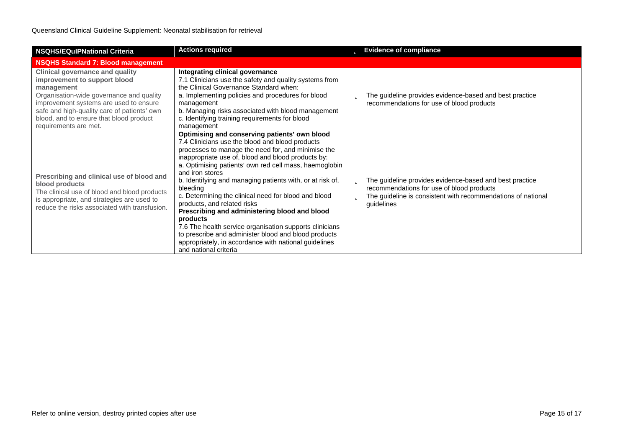| <b>NSQHS/EQuIPNational Criteria</b>                                                                                                                                                                                                                                                           | <b>Actions required</b>                                                                                                                                                                                                                                                                                                                                                                                                                                                                                                                                                                                                                                                                                                     | <b>Evidence of compliance</b><br>b                                                                                                                                                           |  |  |
|-----------------------------------------------------------------------------------------------------------------------------------------------------------------------------------------------------------------------------------------------------------------------------------------------|-----------------------------------------------------------------------------------------------------------------------------------------------------------------------------------------------------------------------------------------------------------------------------------------------------------------------------------------------------------------------------------------------------------------------------------------------------------------------------------------------------------------------------------------------------------------------------------------------------------------------------------------------------------------------------------------------------------------------------|----------------------------------------------------------------------------------------------------------------------------------------------------------------------------------------------|--|--|
| <b>NSQHS Standard 7: Blood management</b>                                                                                                                                                                                                                                                     |                                                                                                                                                                                                                                                                                                                                                                                                                                                                                                                                                                                                                                                                                                                             |                                                                                                                                                                                              |  |  |
| <b>Clinical governance and quality</b><br>improvement to support blood<br>management<br>Organisation-wide governance and quality<br>improvement systems are used to ensure<br>safe and high-quality care of patients' own<br>blood, and to ensure that blood product<br>requirements are met. | Integrating clinical governance<br>7.1 Clinicians use the safety and quality systems from<br>the Clinical Governance Standard when:<br>a. Implementing policies and procedures for blood<br>management<br>b. Managing risks associated with blood management<br>c. Identifying training requirements for blood<br>management                                                                                                                                                                                                                                                                                                                                                                                                | The guideline provides evidence-based and best practice<br>Þ<br>recommendations for use of blood products                                                                                    |  |  |
| Prescribing and clinical use of blood and<br>blood products<br>The clinical use of blood and blood products<br>is appropriate, and strategies are used to<br>reduce the risks associated with transfusion.                                                                                    | Optimising and conserving patients' own blood<br>7.4 Clinicians use the blood and blood products<br>processes to manage the need for, and minimise the<br>inappropriate use of, blood and blood products by:<br>a. Optimising patients' own red cell mass, haemoglobin<br>and iron stores<br>b. Identifying and managing patients with, or at risk of,<br>bleeding<br>c. Determining the clinical need for blood and blood<br>products, and related risks<br>Prescribing and administering blood and blood<br>products<br>7.6 The health service organisation supports clinicians<br>to prescribe and administer blood and blood products<br>appropriately, in accordance with national guidelines<br>and national criteria | The guideline provides evidence-based and best practice<br>b<br>recommendations for use of blood products<br>The guideline is consistent with recommendations of national<br>b<br>guidelines |  |  |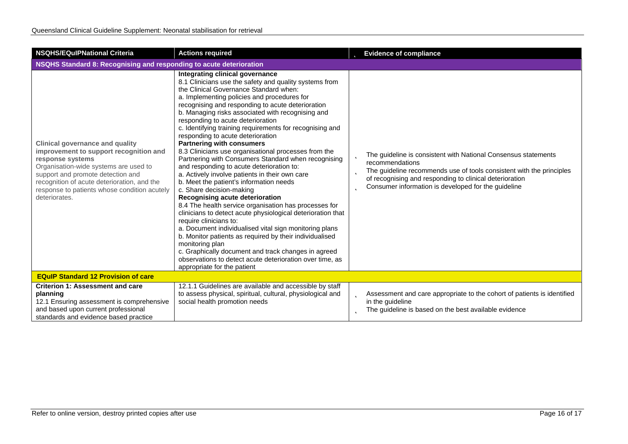| <b>NSQHS/EQuIPNational Criteria</b>                                                                                                                                                                                                                                                                | <b>Actions required</b>                                                                                                                                                                                                                                                                                                                                                                                                                                                                                                                                                                                                                                                                                                                                                                                                                                                                                                                                                                                                                                                                                                                                                                                                                    | <b>b</b> Evidence of compliance                                                                                                                                                                                                                                                            |  |
|----------------------------------------------------------------------------------------------------------------------------------------------------------------------------------------------------------------------------------------------------------------------------------------------------|--------------------------------------------------------------------------------------------------------------------------------------------------------------------------------------------------------------------------------------------------------------------------------------------------------------------------------------------------------------------------------------------------------------------------------------------------------------------------------------------------------------------------------------------------------------------------------------------------------------------------------------------------------------------------------------------------------------------------------------------------------------------------------------------------------------------------------------------------------------------------------------------------------------------------------------------------------------------------------------------------------------------------------------------------------------------------------------------------------------------------------------------------------------------------------------------------------------------------------------------|--------------------------------------------------------------------------------------------------------------------------------------------------------------------------------------------------------------------------------------------------------------------------------------------|--|
| NSQHS Standard 8: Recognising and responding to acute deterioration                                                                                                                                                                                                                                |                                                                                                                                                                                                                                                                                                                                                                                                                                                                                                                                                                                                                                                                                                                                                                                                                                                                                                                                                                                                                                                                                                                                                                                                                                            |                                                                                                                                                                                                                                                                                            |  |
| <b>Clinical governance and quality</b><br>improvement to support recognition and<br>response systems<br>Organisation-wide systems are used to<br>support and promote detection and<br>recognition of acute deterioration, and the<br>response to patients whose condition acutely<br>deteriorates. | Integrating clinical governance<br>8.1 Clinicians use the safety and quality systems from<br>the Clinical Governance Standard when:<br>a. Implementing policies and procedures for<br>recognising and responding to acute deterioration<br>b. Managing risks associated with recognising and<br>responding to acute deterioration<br>c. Identifying training requirements for recognising and<br>responding to acute deterioration<br><b>Partnering with consumers</b><br>8.3 Clinicians use organisational processes from the<br>Partnering with Consumers Standard when recognising<br>and responding to acute deterioration to:<br>a. Actively involve patients in their own care<br>b. Meet the patient's information needs<br>c. Share decision-making<br>Recognising acute deterioration<br>8.4 The health service organisation has processes for<br>clinicians to detect acute physiological deterioration that<br>require clinicians to:<br>a. Document individualised vital sign monitoring plans<br>b. Monitor patients as required by their individualised<br>monitoring plan<br>c. Graphically document and track changes in agreed<br>observations to detect acute deterioration over time, as<br>appropriate for the patient | The guideline is consistent with National Consensus statements<br>þ<br>recommendations<br>The guideline recommends use of tools consistent with the principles<br>b<br>of recognising and responding to clinical deterioration<br>Consumer information is developed for the guideline<br>b |  |
| <b>EQuIP Standard 12 Provision of care</b>                                                                                                                                                                                                                                                         |                                                                                                                                                                                                                                                                                                                                                                                                                                                                                                                                                                                                                                                                                                                                                                                                                                                                                                                                                                                                                                                                                                                                                                                                                                            |                                                                                                                                                                                                                                                                                            |  |
| <b>Criterion 1: Assessment and care</b><br>planning<br>12.1 Ensuring assessment is comprehensive<br>and based upon current professional<br>standards and evidence based practice                                                                                                                   | 12.1.1 Guidelines are available and accessible by staff<br>to assess physical, spiritual, cultural, physiological and<br>social health promotion needs                                                                                                                                                                                                                                                                                                                                                                                                                                                                                                                                                                                                                                                                                                                                                                                                                                                                                                                                                                                                                                                                                     | <b>D</b> Assessment and care appropriate to the cohort of patients is identified<br>in the guideline<br>The guideline is based on the best available evidence                                                                                                                              |  |